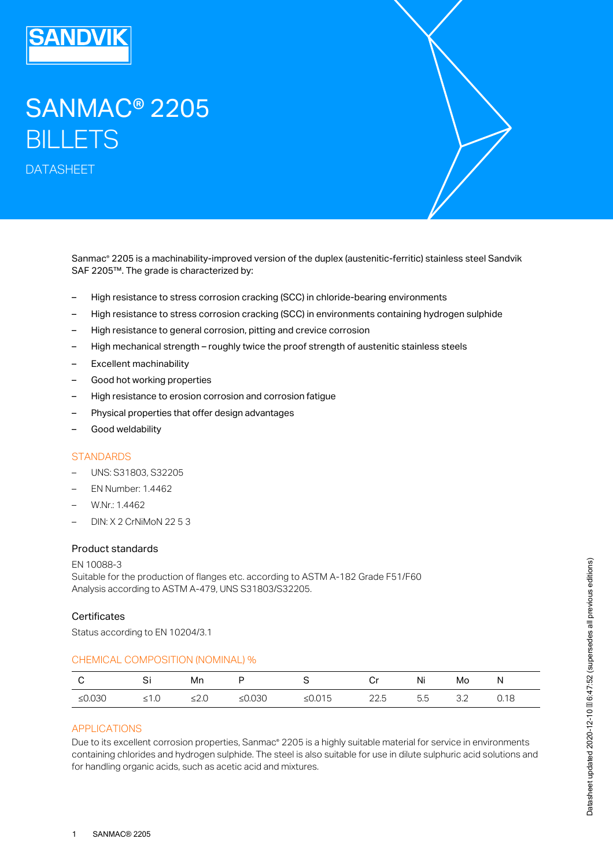

# SANMAC® 2205 **BILLETS**

DATASHEET

Sanmac® 2205 is a machinability-improved version of the duplex (austenitic-ferritic) stainless steel Sandvik SAF 2205™. The grade is characterized by:

- High resistance to stress corrosion cracking (SCC) in chloride-bearing environments
- High resistance to stress corrosion cracking (SCC) in environments containing hydrogen sulphide
- High resistance to general corrosion, pitting and crevice corrosion
- High mechanical strength roughly twice the proof strength of austenitic stainless steels
- Excellent machinability
- Good hot working properties
- High resistance to erosion corrosion and corrosion fatigue
- Physical properties that offer design advantages
- Good weldability

## **STANDARDS**

- UNS: S31803, S32205
- EN Number: 1.4462
- W.Nr.: 1.4462
- DIN: X 2 CrNiMoN 22 5 3

#### Product standards

EN 10088-3 Suitable for the production of flanges etc. according to ASTM A-182 Grade F51/F60 Analysis according to ASTM A-479, UNS S31803/S32205.

#### **Certificates**

Status according to EN 10204/3.1

#### CHEMICAL COMPOSITION (NOMINAL) %

|          | ات   | Mn  |           |        | آبا  | Ni  | Mo  | N    |
|----------|------|-----|-----------|--------|------|-----|-----|------|
| $≤0.030$ | ≤1.0 | --- | ≤ $0.030$ | ≤0.015 | 22.5 | 5.5 | ے.ت | 0.18 |

# APPLICATIONS

Due to its excellent corrosion properties, Sanmac® 2205 is a highly suitable material for service in environments containing chlorides and hydrogen sulphide. The steel is also suitable for use in dilute sulphuric acid solutions and for handling organic acids, such as acetic acid and mixtures.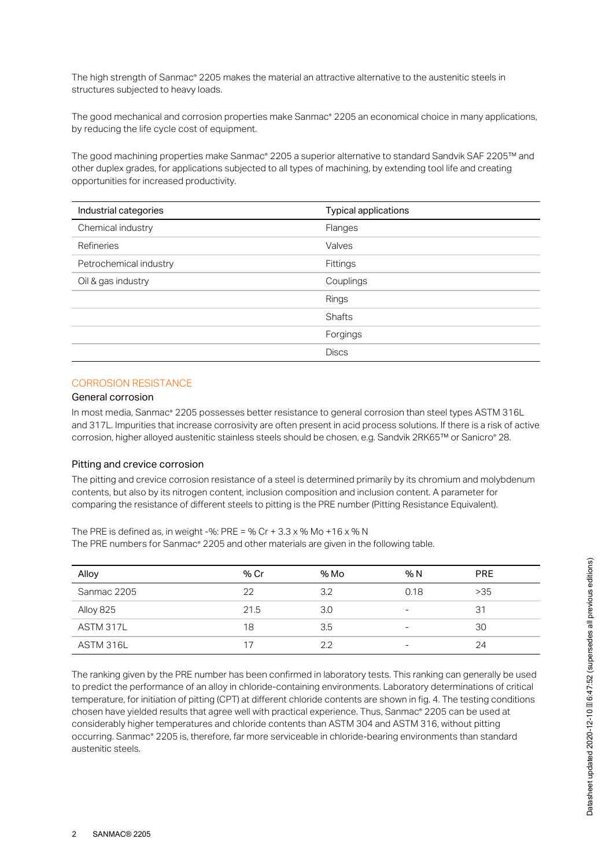The high strength of Sanmac® 2205 makes the material an attractive alternative to the austenitic steels in structures subjected to heavy loads.

The good mechanical and corrosion properties make Sanmac® 2205 an economical choice in many applications, by reducing the life cycle cost of equipment.

The good machining properties make Sanmac® 2205 a superior alternative to standard Sandvik SAF 2205™ and other duplex grades, for applications subjected to all types of machining, by extending tool life and creating opportunities for increased productivity.

| Industrial categories  | Typical applications |
|------------------------|----------------------|
| Chemical industry      | Flanges              |
| Refineries             | Valves               |
| Petrochemical industry | Fittings             |
| Oil & gas industry     | Couplings            |
|                        | Rings                |
|                        | <b>Shafts</b>        |
|                        | Forgings             |
|                        | <b>Discs</b>         |

## CORROSION RESISTANCE

#### General corrosion

In most media, Sanmac® 2205 possesses better resistance to general corrosion than steel types ASTM 316L and 317L. Impurities that increase corrosivity are often present in acid process solutions. If there is a risk of active corrosion, higher alloyed austenitic stainless steels should be chosen, e.g. Sandvik 2RK65™ or Sanicro® 28.

#### Pitting and crevice corrosion

The pitting and crevice corrosion resistance of a steel is determined primarily by its chromium and molybdenum contents, but also by its nitrogen content, inclusion composition and inclusion content. A parameter for comparing the resistance of different steels to pitting is the PRE number (Pitting Resistance Equivalent).

The PRE is defined as, in weight -%: PRE = % Cr +  $3.3 \times$  % Mo + 16 x % N The PRE numbers for Sanmac® 2205 and other materials are given in the following table.

| Alloy       | % Cr | % Mo | % N                      | <b>PRE</b> |
|-------------|------|------|--------------------------|------------|
| Sanmac 2205 | 22   | 3.2  | 0.18                     | >35        |
| Alloy 825   | 21.5 | 3.0  | -                        | 31         |
| ASTM 317L   | 18   | 3.5  | -                        | 30         |
| ASTM 316L   | 17   | 22   | $\overline{\phantom{a}}$ | 24         |

The ranking given by the PRE number has been confirmed in laboratory tests. This ranking can generally be used to predict the performance of an alloy in chloride-containing environments. Laboratory determinations of critical temperature, for initiation of pitting (CPT) at different chloride contents are shown in fig. 4. The testing conditions chosen have yielded results that agree well with practical experience. Thus, Sanmac® 2205 can be used at considerably higher temperatures and chloride contents than ASTM 304 and ASTM 316, without pitting occurring. Sanmac® 2205 is, therefore, far more serviceable in chloride-bearing environments than standard austenitic steels.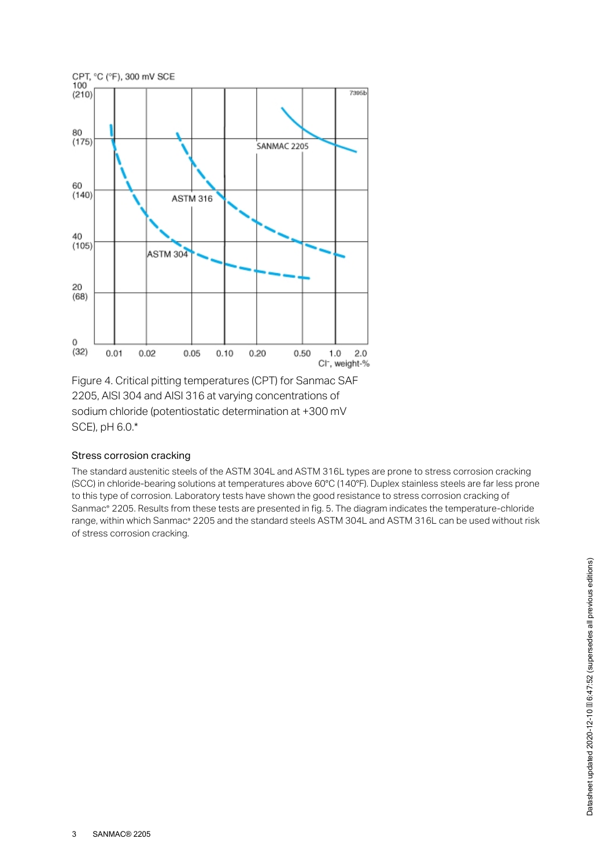

Figure 4. Critical pitting temperatures (CPT) for Sanmac SAF 2205, AISI 304 and AISI 316 at varying concentrations of sodium chloride (potentiostatic determination at +300 mV SCE), pH 6.0.\*

#### Stress corrosion cracking

The standard austenitic steels of the ASTM 304L and ASTM 316L types are prone to stress corrosion cracking (SCC) in chloride-bearing solutions at temperatures above 60°C (140°F). Duplex stainless steels are far less prone to this type of corrosion. Laboratory tests have shown the good resistance to stress corrosion cracking of Sanmac® 2205. Results from these tests are presented in fig. 5. The diagram indicates the temperature-chloride range, within which Sanmac® 2205 and the standard steels ASTM 304L and ASTM 316L can be used without risk of stress corrosion cracking.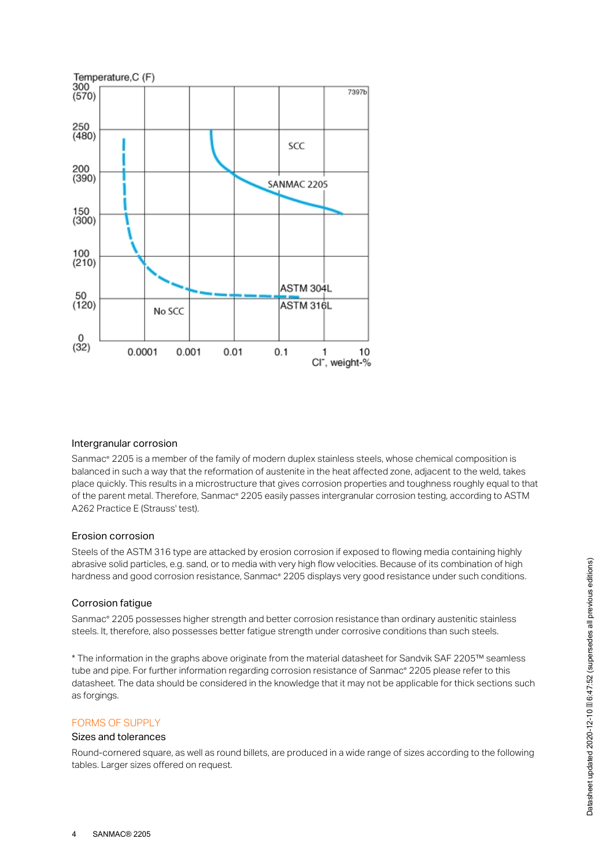

#### Intergranular corrosion

Sanmac® 2205 is a member of the family of modern duplex stainless steels, whose chemical composition is balanced in such a way that the reformation of austenite in the heat affected zone, adjacent to the weld, takes place quickly. This results in a microstructure that gives corrosion properties and toughness roughly equal to that of the parent metal. Therefore, Sanmac® 2205 easily passes intergranular corrosion testing, according to ASTM A262 Practice E (Strauss' test).

#### Erosion corrosion

Steels of the ASTM 316 type are attacked by erosion corrosion if exposed to flowing media containing highly abrasive solid particles, e.g. sand, or to media with very high flow velocities. Because of its combination of high hardness and good corrosion resistance, Sanmac® 2205 displays very good resistance under such conditions.

#### Corrosion fatigue

Sanmac® 2205 possesses higher strength and better corrosion resistance than ordinary austenitic stainless steels. It, therefore, also possesses better fatigue strength under corrosive conditions than such steels.

\* The information in the graphs above originate from the material datasheet for Sandvik SAF 2205™ seamless tube and pipe. For further information regarding corrosion resistance of Sanmac® 2205 please refer to this datasheet. The data should be considered in the knowledge that it may not be applicable for thick sections such as forgings.

#### FORMS OF SUPPLY

#### Sizes and tolerances

Round-cornered square, as well as round billets, are produced in a wide range of sizes according to the following tables. Larger sizes offered on request.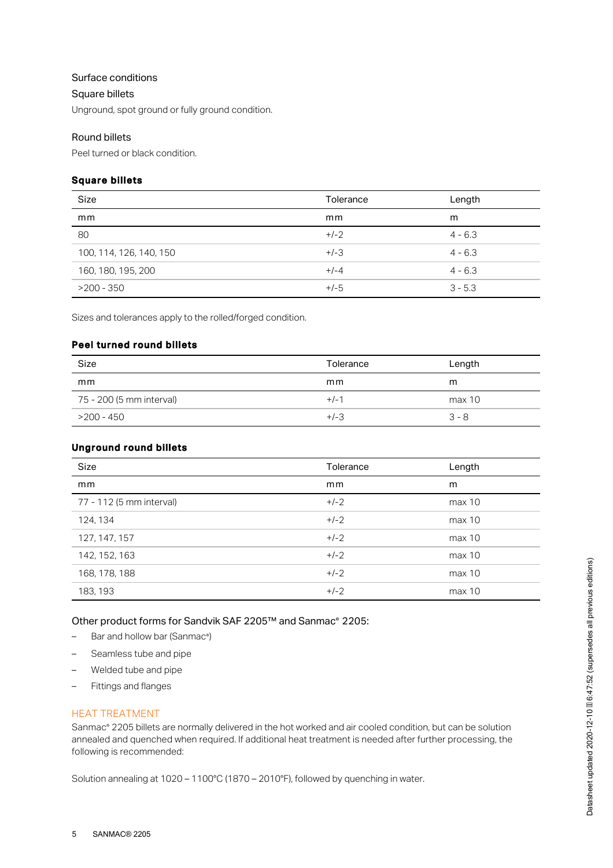# Surface conditions

#### Square billets

Unground, spot ground or fully ground condition.

# Round billets

Peel turned or black condition.

## Square billets

| Size                    | Tolerance | Length    |
|-------------------------|-----------|-----------|
| mm                      | mm        | m         |
| 80                      | $+/-2$    | $4 - 6.3$ |
| 100, 114, 126, 140, 150 | $+/-3$    | $4 - 6.3$ |
| 160, 180, 195, 200      | $+/-4$    | $4 - 6.3$ |
| $>200 - 350$            | $+/-5$    | $3 - 5.3$ |

Sizes and tolerances apply to the rolled/forged condition.

## Peel turned round billets

| Size                     | Tolerance | Length  |
|--------------------------|-----------|---------|
| mm                       | mm        | m       |
| 75 - 200 (5 mm interval) | $+/-1$    | max 10  |
| >200 - 450               | $+/-3$    | $3 - 8$ |

# Unground round billets

| Size                     | Tolerance | Length |
|--------------------------|-----------|--------|
| mm                       | mm        | m      |
| 77 - 112 (5 mm interval) | $+/-2$    | max 10 |
| 124, 134                 | $+/-2$    | max 10 |
| 127, 147, 157            | $+/-2$    | max 10 |
| 142, 152, 163            | $+/-2$    | max 10 |
| 168, 178, 188            | $+/-2$    | max 10 |
| 183, 193                 | $+/-2$    | max 10 |

Other product forms for Sandvik SAF 2205™ and Sanmac® 2205:

- $-$  Bar and hollow bar (Sanmac<sup>®</sup>)
- Seamless tube and pipe
- Welded tube and pipe
- Fittings and flanges

# HEAT TREATMENT

Sanmac® 2205 billets are normally delivered in the hot worked and air cooled condition, but can be solution annealed and quenched when required. If additional heat treatment is needed after further processing, the following is recommended:

Solution annealing at 1020 – 1100°C (1870 – 2010°F), followed by quenching in water.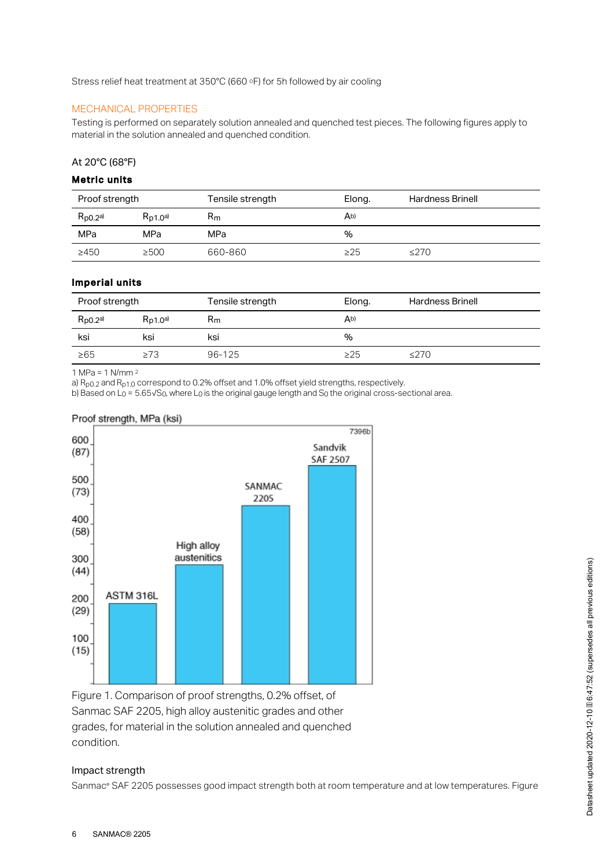Stress relief heat treatment at  $350^{\circ}$ C (660  $\circ$ F) for 5h followed by air cooling

# MECHANICAL PROPERTIES

Testing is performed on separately solution annealed and quenched test pieces. The following figures apply to material in the solution annealed and quenched condition.

#### At 20°C (68°F)

## Metric units

| Proof strength |               | Tensile strength | Elong.         | <b>Hardness Brinell</b> |
|----------------|---------------|------------------|----------------|-------------------------|
| $R_{p0.2a}$    | $R_{D1,0}$ a) | $R_{m}$          | A <sub>b</sub> |                         |
| MPa            | MPa           | MPa              | %              |                         |
| >450           | $\geq$ 500    | 660-860          | $\geq$ 25      | ≤270                    |

#### Imperial units

| Proof strength |               | Tensile strength | Elong. | <b>Hardness Brinell</b> |
|----------------|---------------|------------------|--------|-------------------------|
| $R_{p0.2}$ a)  | $R_{D1,0}$ a) | Rm               | Ab)    |                         |
| ksi            | ksi           | ksi              | %      |                         |
| $\geq 65$      | $\geq 73$     | 96-125           | >25    | $\leq$ 270              |

1 MPa = 1 N/mm 2

a)  $R_{p0.2}$  and  $R_{p1.0}$  correspond to 0.2% offset and 1.0% offset yield strengths, respectively.

b) Based on L<sub>0</sub> = 5.65√S<sub>0</sub>, where L<sub>0</sub> is the original gauge length and S<sub>0</sub> the original cross-sectional area.

#### Proof strength, MPa (ksi)



Figure 1. Comparison of proof strengths, 0.2% offset, of Sanmac SAF 2205, high alloy austenitic grades and other grades, for material in the solution annealed and quenched condition.

# Impact strength

Sanmac® SAF 2205 possesses good impact strength both at room temperature and at low temperatures. Figure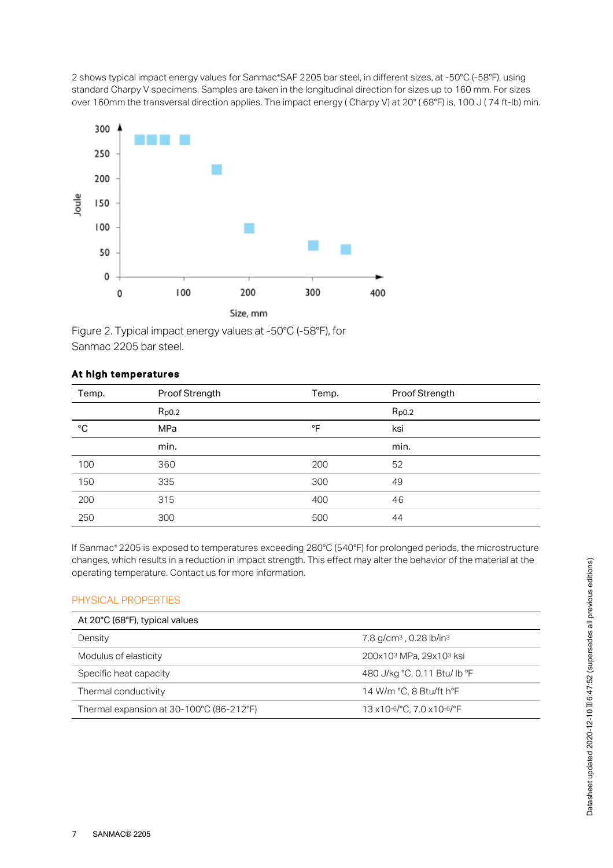2 shows typical impact energy values for Sanmac®SAF 2205 bar steel, in different sizes, at -50°C (-58°F), using standard Charpy V specimens. Samples are taken in the longitudinal direction for sizes up to 160 mm. For sizes over 160mm the transversal direction applies. The impact energy (Charpy V) at 20° (68°F) is, 100 J (74 ft-lb) min.



Figure 2. Typical impact energy values at -50°C (-58°F), for Sanmac 2205 bar steel.

# At high temperatures

| Temp. | Proof Strength<br>Temp. |     | Proof Strength |
|-------|-------------------------|-----|----------------|
|       | $R_{p0.2}$              |     | $R_{p0.2}$     |
| °C    | MPa                     | °F  | ksi            |
|       | min.                    |     | min.           |
| 100   | 360                     | 200 | 52             |
| 150   | 335                     | 300 | 49             |
| 200   | 315                     | 400 | 46             |
| 250   | 300                     | 500 | 44             |

If Sanmac® 2205 is exposed to temperatures exceeding 280°C (540°F) for prolonged periods, the microstructure changes, which results in a reduction in impact strength. This effect may alter the behavior of the material at the operating temperature. Contact us for more information.

#### PHYSICAL PROPERTIES

| At 20°C (68°F), typical values<br>Density | 7.8 g/cm <sup>3</sup> , 0.28 lb/in <sup>3</sup> |
|-------------------------------------------|-------------------------------------------------|
| Modulus of elasticity                     | 200x103 MPa, 29x103 ksi                         |
| Specific heat capacity                    | 480 J/kg °C, 0.11 Btu/ lb °F                    |
| Thermal conductivity                      | 14 W/m °C, 8 Btu/ft h°F                         |
| Thermal expansion at 30-100°C (86-212°F)  | 13 x10-6/°C, 7.0 x10-6/°F                       |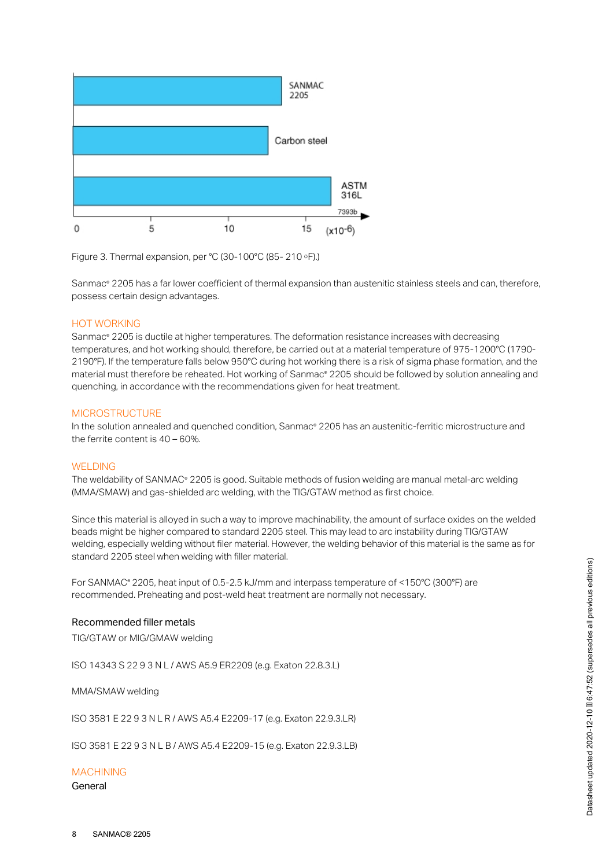

Figure 3. Thermal expansion, per °C (30-100°C (85-210  $\circ$ F).)

Sanmac® 2205 has a far lower coefficient of thermal expansion than austenitic stainless steels and can, therefore, possess certain design advantages.

#### HOT WORKING

Sanmac® 2205 is ductile at higher temperatures. The deformation resistance increases with decreasing temperatures, and hot working should, therefore, be carried out at a material temperature of 975-1200°C (1790- 2190°F). If the temperature falls below 950°C during hot working there is a risk of sigma phase formation, and the material must therefore be reheated. Hot working of Sanmac® 2205 should be followed by solution annealing and quenching, in accordance with the recommendations given for heat treatment.

#### **MICROSTRUCTURE**

In the solution annealed and quenched condition, Sanmac® 2205 has an austenitic-ferritic microstructure and the ferrite content is 40 – 60%.

#### WELDING

The weldability of SANMAC® 2205 is good. Suitable methods of fusion welding are manual metal-arc welding (MMA/SMAW) and gas-shielded arc welding, with the TIG/GTAW method as first choice.

Since this material is alloyed in such a way to improve machinability, the amount of surface oxides on the welded beads might be higher compared to standard 2205 steel. This may lead to arc instability during TIG/GTAW welding, especially welding without filer material. However, the welding behavior of this material is the same as for standard 2205 steel when welding with filler material.

For SANMAC® 2205, heat input of 0.5-2.5 kJ/mm and interpass temperature of <150°C (300°F) are recommended. Preheating and post-weld heat treatment are normally not necessary.

#### Recommended filler metals

TIG/GTAW or MIG/GMAW welding

ISO 14343 S 22 9 3 N L / AWS A5.9 ER2209 (e.g. Exaton 22.8.3.L)

MMA/SMAW welding

ISO 3581 E 22 9 3 N L R / AWS A5.4 E2209-17 (e.g. Exaton 22.9.3.LR)

ISO 3581 E 22 9 3 N L B / AWS A5.4 E2209-15 (e.g. Exaton 22.9.3.LB)

#### MACHINING

General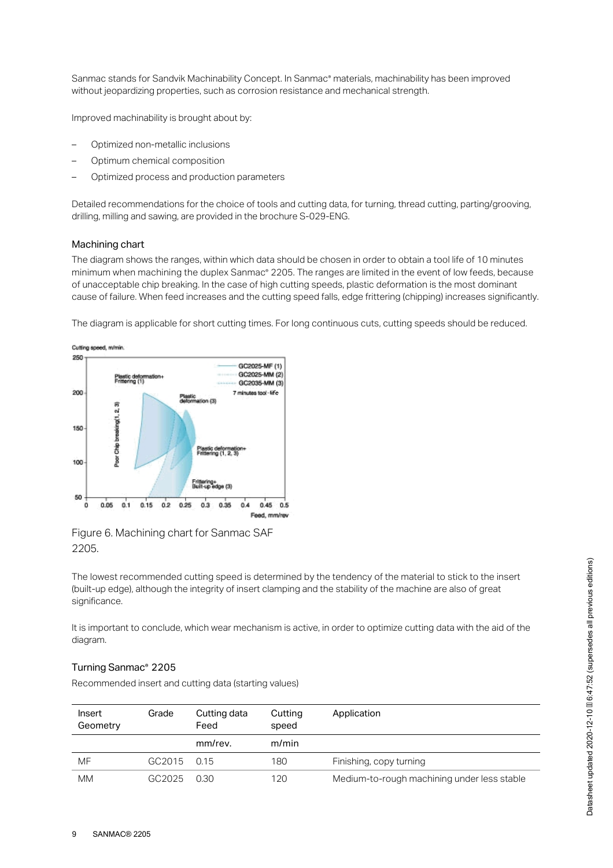Sanmac stands for Sandvik Machinability Concept. In Sanmac® materials, machinability has been improved without jeopardizing properties, such as corrosion resistance and mechanical strength.

Improved machinability is brought about by:

- Optimized non-metallic inclusions
- Optimum chemical composition
- Optimized process and production parameters

Detailed recommendations for the choice of tools and cutting data, for turning, thread cutting, parting/grooving, drilling, milling and sawing, are provided in the brochure S-029-ENG.

## Machining chart

The diagram shows the ranges, within which data should be chosen in order to obtain a tool life of 10 minutes minimum when machining the duplex Sanmac® 2205. The ranges are limited in the event of low feeds, because of unacceptable chip breaking. In the case of high cutting speeds, plastic deformation is the most dominant cause of failure. When feed increases and the cutting speed falls, edge frittering (chipping) increases significantly.

The diagram is applicable for short cutting times. For long continuous cuts, cutting speeds should be reduced.



Figure 6. Machining chart for Sanmac SAF 2205.

The lowest recommended cutting speed is determined by the tendency of the material to stick to the insert (built-up edge), although the integrity of insert clamping and the stability of the machine are also of great significance.

It is important to conclude, which wear mechanism is active, in order to optimize cutting data with the aid of the diagram.

#### Turning Sanmac<sup>®</sup> 2205

Recommended insert and cutting data (starting values)

| Insert<br>Geometry | Grade       | Cutting data<br>Feed | Cutting<br>speed | Application                                 |
|--------------------|-------------|----------------------|------------------|---------------------------------------------|
|                    |             | mm/rev.              | m/min            |                                             |
| MF                 | GC2015 0.15 |                      | 180              | Finishing, copy turning                     |
| МM                 | GC2025      | 0.30                 | 120              | Medium-to-rough machining under less stable |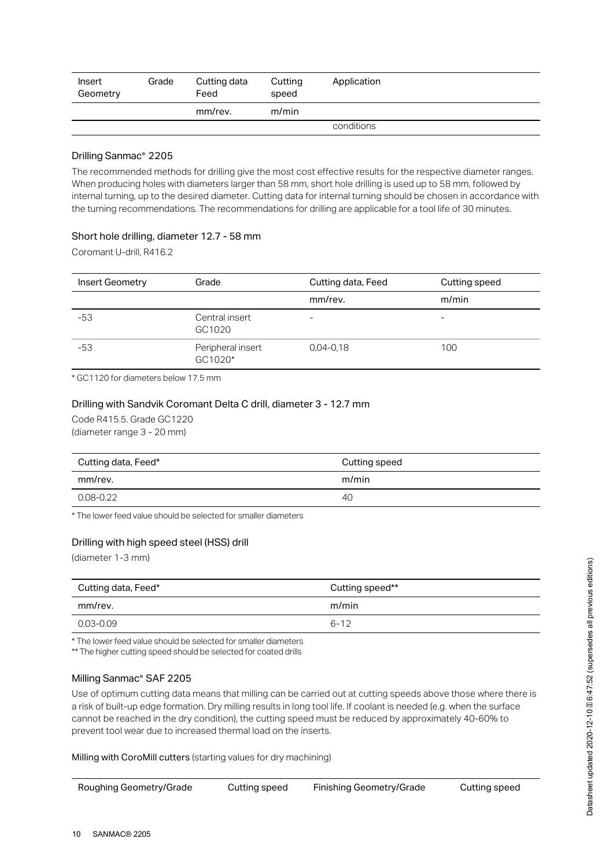| Insert<br>Geometry | Grade | Cutting data<br>Feed | Cutting<br>speed | Application |
|--------------------|-------|----------------------|------------------|-------------|
|                    |       | mm/rev.              | m/min            |             |
|                    |       |                      |                  | conditions  |

## Drilling Sanmac<sup>®</sup> 2205

The recommended methods for drilling give the most cost effective results for the respective diameter ranges. When producing holes with diameters larger than 58 mm, short hole drilling is used up to 58 mm, followed by internal turning, up to the desired diameter. Cutting data for internal turning should be chosen in accordance with the turning recommendations. The recommendations for drilling are applicable for a tool life of 30 minutes.

# Short hole drilling, diameter 12.7 - 58 mm

Coromant U-drill, R416.2

| <b>Insert Geometry</b> | Grade                        | Cutting data, Feed | Cutting speed |
|------------------------|------------------------------|--------------------|---------------|
|                        |                              | mm/rev.            | m/min         |
| $-53$                  | Central insert<br>GC1020     | ۰                  | -             |
| $-53$                  | Peripheral insert<br>GC1020* | $0.04 - 0.18$      | 100           |

\* GC1120 for diameters below 17.5 mm

## Drilling with Sandvik Coromant Delta C drill, diameter 3 - 12.7 mm

Code R415.5. Grade GC1220 (diameter range 3 - 20 mm)

| Cutting data, Feed* | Cutting speed |
|---------------------|---------------|
| mm/rev.             | m/min         |
| 0.08-0.22           | 40            |

\* The lower feed value should be selected for smaller diameters

# Drilling with high speed steel (HSS) drill

(diameter 1-3 mm)

| Cutting data, Feed* | Cutting speed** |
|---------------------|-----------------|
| mm/rev.             | m/min           |
| 0.03-0.09           | $6 - 12$        |

\* The lower feed value should be selected for smaller diameters

\*\* The higher cutting speed should be selected for coated drills

## Milling Sanmac® SAF 2205

Use of optimum cutting data means that milling can be carried out at cutting speeds above those where there is a risk of built-up edge formation. Dry milling results in long tool life. If coolant is needed (e.g. when the surface cannot be reached in the dry condition), the cutting speed must be reduced by approximately 40-60% to prevent tool wear due to increased thermal load on the inserts.

Milling with CoroMill cutters (starting values for dry machining)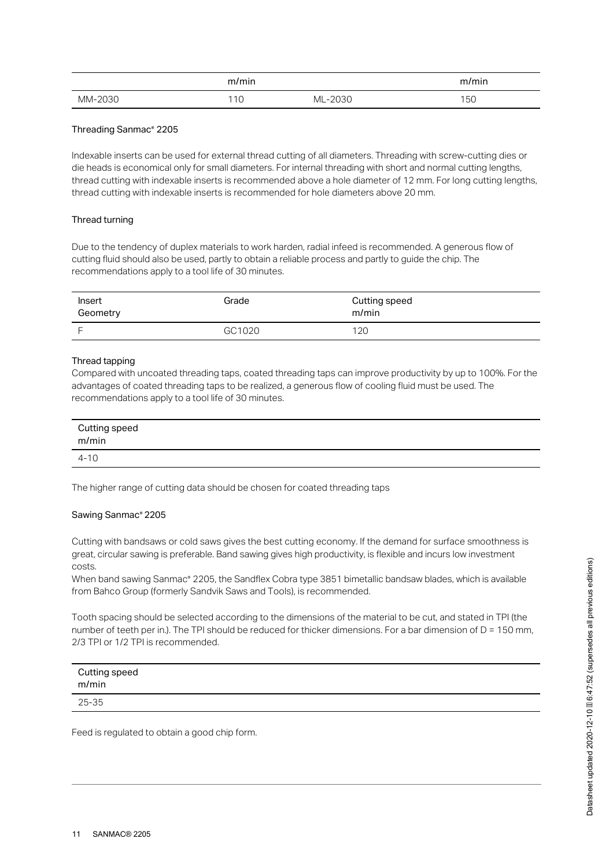|         | m/min |         | m/min |
|---------|-------|---------|-------|
| MM-2030 | 110   | ML-2030 | 150   |

## Threading Sanmac® 2205

Indexable inserts can be used for external thread cutting of all diameters. Threading with screw-cutting dies or die heads is economical only for small diameters. For internal threading with short and normal cutting lengths, thread cutting with indexable inserts is recommended above a hole diameter of 12 mm. For long cutting lengths, thread cutting with indexable inserts is recommended for hole diameters above 20 mm.

#### Thread turning

Due to the tendency of duplex materials to work harden, radial infeed is recommended. A generous flow of cutting fluid should also be used, partly to obtain a reliable process and partly to guide the chip. The recommendations apply to a tool life of 30 minutes.

| Insert<br>Geometry | Grade  | Cutting speed<br>m/min |
|--------------------|--------|------------------------|
|                    | GC1020 | 120                    |

#### Thread tapping

Compared with uncoated threading taps, coated threading taps can improve productivity by up to 100%. For the advantages of coated threading taps to be realized, a generous flow of cooling fluid must be used. The recommendations apply to a tool life of 30 minutes.

| Cutting speed<br>m/min |  |
|------------------------|--|
| $4 - 10$               |  |

The higher range of cutting data should be chosen for coated threading taps

#### Sawing Sanmac® 2205

Cutting with bandsaws or cold saws gives the best cutting economy. If the demand for surface smoothness is great, circular sawing is preferable. Band sawing gives high productivity, is flexible and incurs low investment costs.

When band sawing Sanmac® 2205, the Sandflex Cobra type 3851 bimetallic bandsaw blades, which is available from Bahco Group (formerly Sandvik Saws and Tools), is recommended.

Tooth spacing should be selected according to the dimensions of the material to be cut, and stated in TPI (the number of teeth per in.). The TPI should be reduced for thicker dimensions. For a bar dimension of D = 150 mm, 2/3 TPI or 1/2 TPI is recommended.

| Cutting speed<br>m/min |  |
|------------------------|--|
| 25-35                  |  |

Feed is regulated to obtain a good chip form.